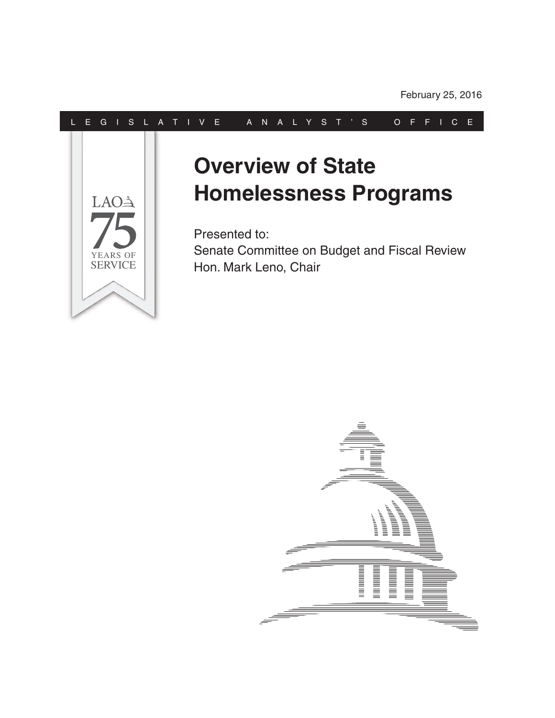#### L E G I S L A T I V E A N A L Y S T ' S O F F I C E



#### **Overview of State Homelessness Programs**

Presented to: Senate Committee on Budget and Fiscal Review Hon. Mark Leno, Chair

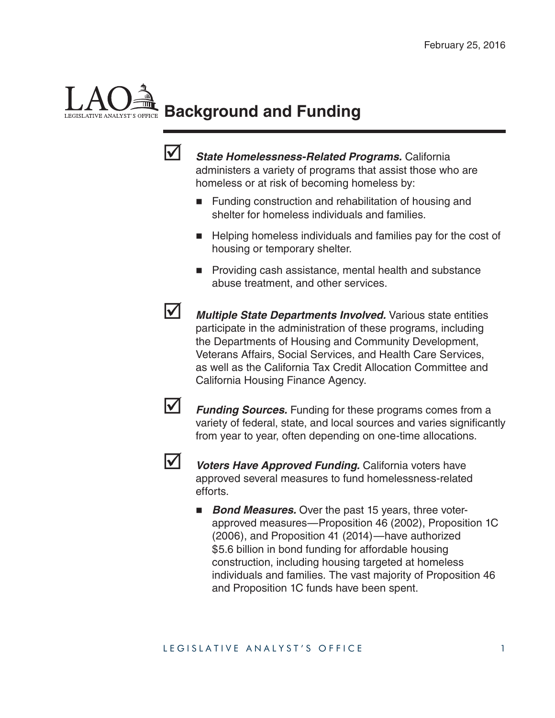# **Background and Funding**



 *State Homelessness-Related Programs.* California administers a variety of programs that assist those who are homeless or at risk of becoming homeless by:

- Funding construction and rehabilitation of housing and shelter for homeless individuals and families.
- Helping homeless individuals and families pay for the cost of housing or temporary shelter.
- **Providing cash assistance, mental health and substance** abuse treatment, and other services.

**Multiple State Departments Involved.** Various state entities participate in the administration of these programs, including the Departments of Housing and Community Development, Veterans Affairs, Social Services, and Health Care Services, as well as the California Tax Credit Allocation Committee and California Housing Finance Agency.



**Funding Sources.** Funding for these programs comes from a variety of federal, state, and local sources and varies significantly from year to year, often depending on one-time allocations.



**V** *Voters Have Approved Funding.* California voters have approved several measures to fund homelessness-related efforts.

**Bond Measures.** Over the past 15 years, three voterapproved measures—Proposition 46 (2002), Proposition 1C (2006), and Proposition 41 (2014)—have authorized \$5.6 billion in bond funding for affordable housing construction, including housing targeted at homeless individuals and families. The vast majority of Proposition 46 and Proposition 1C funds have been spent.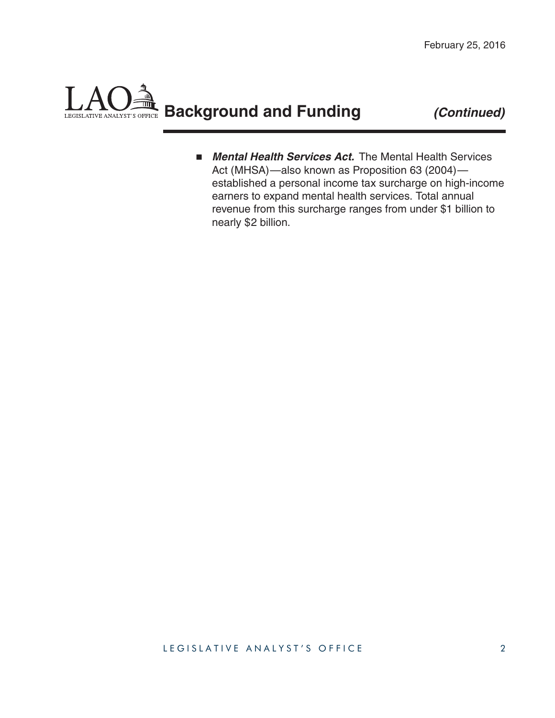#### **Background and Funding** *(Continued)*LEGISLATIVE ANALYST'S OFFICE

**E** Mental Health Services Act. The Mental Health Services Act (MHSA)—also known as Proposition 63 (2004) established a personal income tax surcharge on high-income earners to expand mental health services. Total annual revenue from this surcharge ranges from under \$1 billion to nearly \$2 billion.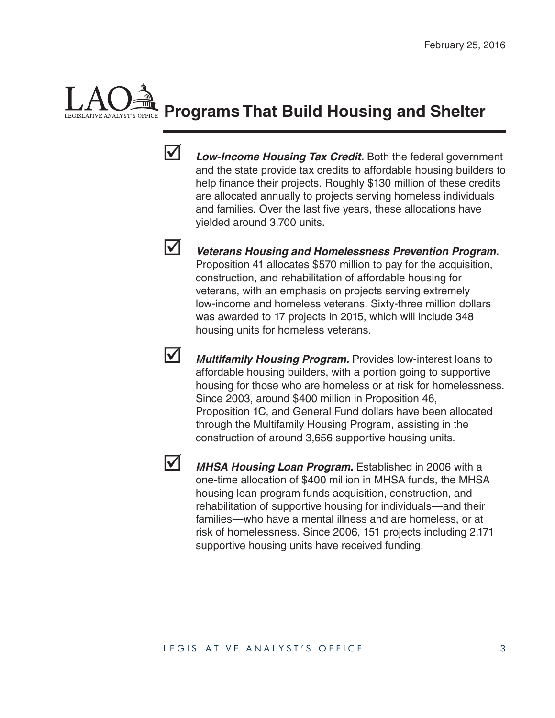### **Programs That Build Housing and Shelter**



 *Low-Income Housing Tax Credit.* Both the federal government and the state provide tax credits to affordable housing builders to help finance their projects. Roughly \$130 million of these credits are allocated annually to projects serving homeless individuals and families. Over the last five years, these allocations have yielded around 3,700 units.



 *Veterans Housing and Homelessness Prevention Program.*  Proposition 41 allocates \$570 million to pay for the acquisition, construction, and rehabilitation of affordable housing for veterans, with an emphasis on projects serving extremely low-income and homeless veterans. Sixty-three million dollars was awarded to 17 projects in 2015, which will include 348 housing units for homeless veterans.

 *Multifamily Housing Program.* Provides low-interest loans to affordable housing builders, with a portion going to supportive housing for those who are homeless or at risk for homelessness. Since 2003, around \$400 million in Proposition 46, Proposition 1C, and General Fund dollars have been allocated through the Multifamily Housing Program, assisting in the construction of around 3,656 supportive housing units.



MHSA Housing Loan Program. Established in 2006 with a one-time allocation of \$400 million in MHSA funds, the MHSA housing loan program funds acquisition, construction, and rehabilitation of supportive housing for individuals—and their families—who have a mental illness and are homeless, or at risk of homelessness. Since 2006, 151 projects including 2,171 supportive housing units have received funding.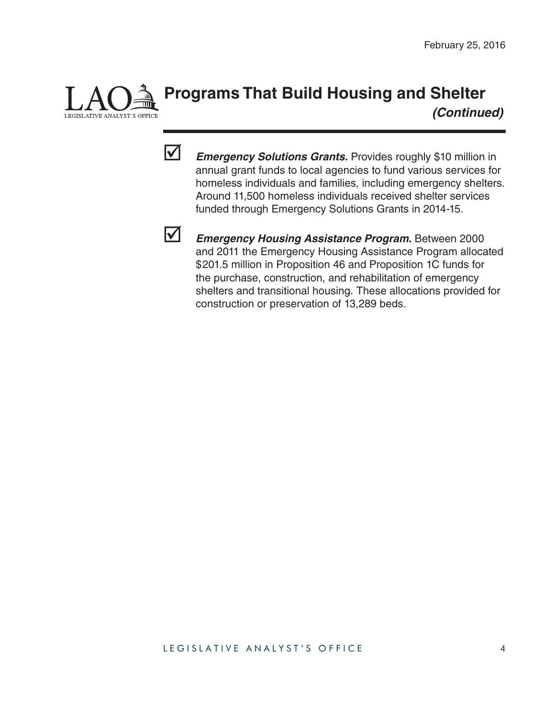

#### **Programs That Build Housing and Shelter**   *(Continued)*



**Emergency Solutions Grants.** Provides roughly \$10 million in annual grant funds to local agencies to fund various services for homeless individuals and families, including emergency shelters. Around 11,500 homeless individuals received shelter services funded through Emergency Solutions Grants in 2014-15.



 *Emergency Housing Assistance Program.* Between 2000 and 2011 the Emergency Housing Assistance Program allocated \$201.5 million in Proposition 46 and Proposition 1C funds for the purchase, construction, and rehabilitation of emergency shelters and transitional housing. These allocations provided for construction or preservation of 13,289 beds.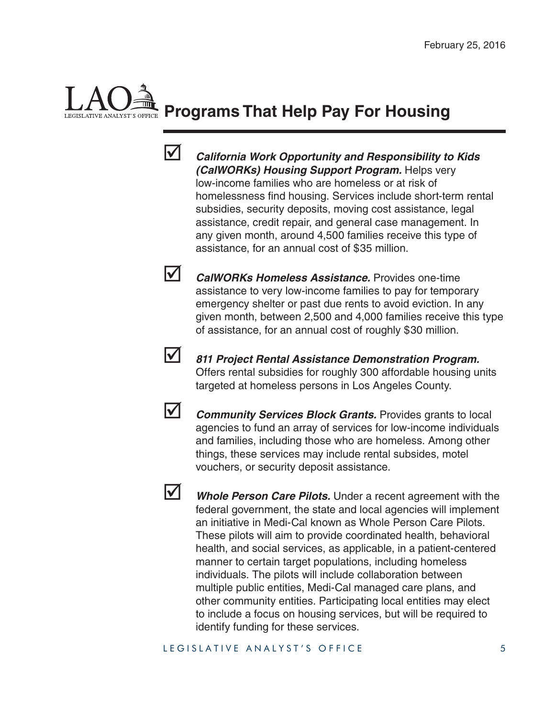## **Programs That Help Pay For Housing**



 *California Work Opportunity and Responsibility to Kids (CalWORKs) Housing Support Program.* Helps very low-income families who are homeless or at risk of homelessness find housing. Services include short-term rental subsidies, security deposits, moving cost assistance, legal assistance, credit repair, and general case management. In any given month, around 4,500 families receive this type of assistance, for an annual cost of \$35 million.

 *CalWORKs Homeless Assistance.* Provides one-time assistance to very low-income families to pay for temporary emergency shelter or past due rents to avoid eviction. In any given month, between 2,500 and 4,000 families receive this type of assistance, for an annual cost of roughly \$30 million.



 *811 Project Rental Assistance Demonstration Program.*  Offers rental subsidies for roughly 300 affordable housing units targeted at homeless persons in Los Angeles County.

**M** *Community Services Block Grants.* Provides grants to local agencies to fund an array of services for low-income individuals and families, including those who are homeless. Among other things, these services may include rental subsides, motel vouchers, or security deposit assistance.

**M** Whole Person Care Pilots. Under a recent agreement with the federal government, the state and local agencies will implement an initiative in Medi-Cal known as Whole Person Care Pilots. These pilots will aim to provide coordinated health, behavioral health, and social services, as applicable, in a patient-centered manner to certain target populations, including homeless individuals. The pilots will include collaboration between multiple public entities, Medi-Cal managed care plans, and other community entities. Participating local entities may elect to include a focus on housing services, but will be required to identify funding for these services.

LEGISLATIVE ANALYST'S OFFICE 5